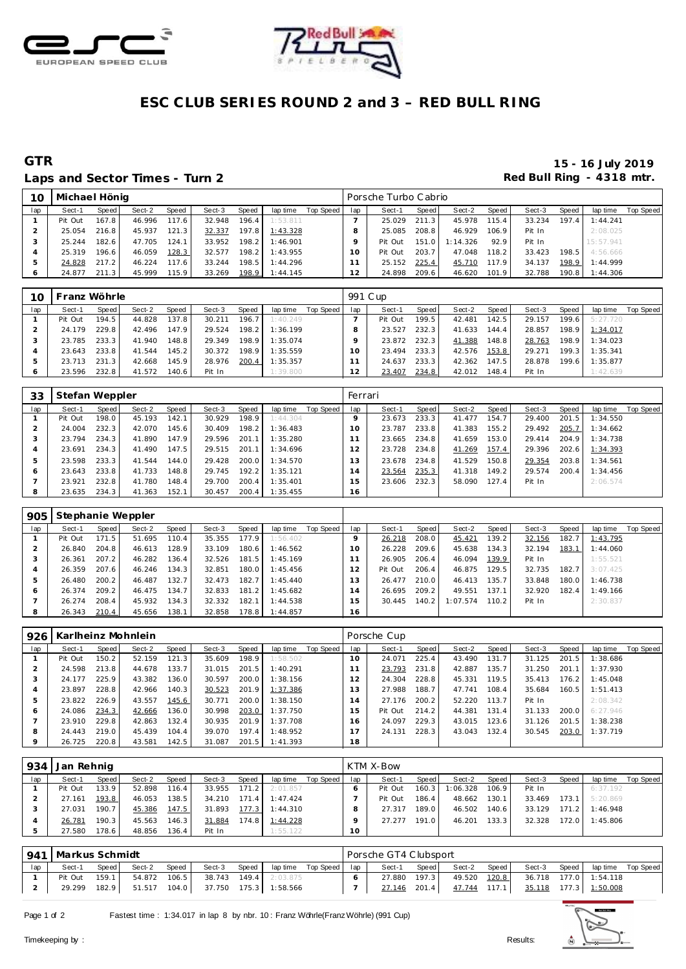



# ESC CLUB SERIES ROUND 2 and 3 - RED BULL RING

# **GTR**

## Laps and Sector Times - Turn 2

### 15 - 16 July 2019 Red Bull Ring - 4318 mtr.

| 10  | Michael Hönig |       |        |       |        |         |          |           |     | Porsche Turbo Cabrio |       |          |       |        |       |           |           |
|-----|---------------|-------|--------|-------|--------|---------|----------|-----------|-----|----------------------|-------|----------|-------|--------|-------|-----------|-----------|
| lap | Sect-1        | Speed | Sect-2 | Speed | Sect-3 | Speed   | lap time | Top Speed | lap | Sect-1               | Speed | Sect-2   | Speed | Sect-3 | Speed | lap time  | Top Speed |
|     | Pit Out       | 167.8 | 46.996 | 117.6 | 32.948 | 196.4   | 1:53.811 |           |     | 25.029               | 211.3 | 45.978   | 115.4 | 33.234 | 197.4 | 1:44.241  |           |
|     | 25.054        | 216.8 | 45.937 | 121.3 | 32.337 | 197.8   | 1:43.328 |           |     | 25.085               | 208.8 | 46.929   | 106.9 | Pit In |       | 2:08.025  |           |
|     | 25.244        | 182.6 | 47.705 | 124.1 | 33.952 | 198.2   | 1:46.901 |           |     | Pit Out              | 151.0 | 1:14.326 | 92.9  | Pit In |       | 15:57.941 |           |
|     | 25.319        | 196.6 | 46.059 | 128.3 | 32.577 | 198.2 l | 1:43.955 |           |     | Pit Out              | 203.7 | 47.048   | 118.2 | 33.423 | 198.5 | 4:56.666  |           |
|     | 24.828        | 217.2 | 46.224 | 117.6 | 33.244 | 198.5   | 1:44.296 |           |     | 25.152               | 225.4 | 45.710   | 117.9 | 34.137 | 198.9 | 1:44.999  |           |
|     | 24.877        | 211.3 | 45.999 | 115.9 | 33.269 | 198.9   | 1:44.145 |           |     | 24.898               | 209.6 | 46.620   | 101.9 | 32.788 | 190.8 | 1:44.306  |           |

| 10  | Franz Wöhrle |       |        |       |        |       |          |           | 991 C up |         |       |        |       |        |       |          |           |
|-----|--------------|-------|--------|-------|--------|-------|----------|-----------|----------|---------|-------|--------|-------|--------|-------|----------|-----------|
| lap | Sect-1       | Speed | Sect-2 | Speed | Sect-3 | Speed | lap time | Top Speed | lap      | Sect-1  | Speed | Sect-2 | Speed | Sect-3 | Speed | lap time | Top Speed |
|     | Pit Out      | 194.5 | 44.828 | 137.8 | 30.211 | 196.7 | 1:40.249 |           |          | Pit Out | 199.5 | 42.481 | 142.5 | 29.157 | 199.6 | 5:27.720 |           |
|     | 24.179       | 229.8 | 42.496 | 147.9 | 29.524 | 198.2 | 1:36.199 |           |          | 23.527  | 232.3 | 41.633 | 144.4 | 28.857 | 198.9 | 1:34.017 |           |
|     | 23.785       | 233.3 | 41.940 | 148.8 | 29.349 | 198.9 | 1:35.074 |           |          | 23.872  | 232.3 | 41.388 | 148.8 | 28.763 | 198.9 | 1:34.023 |           |
|     | 23.643       | 233.8 | 41.544 | 145.2 | 30.372 | 198.9 | 1:35.559 |           | 10       | 23.494  | 233.3 | 42.576 | 153.8 | 29.271 | 199.3 | 1:35.341 |           |
|     | 23.713       | 231.3 | 42.668 | 145.9 | 28.976 | 200.4 | 1:35.357 |           |          | 24.637  | 233.3 | 42.362 | 147.5 | 28.878 | 199.6 | 1:35.877 |           |
|     | 23.596       | 232.8 | 41.572 | 140.6 | Pit In |       | 1:39.800 |           | 2        | 23.407  | 234.8 | 42.012 | 148.4 | Pit In |       | 1:42.639 |           |

| 33  | Stefan Weppler |       |        |       |        |       |          |           | Ferrari  |        |       |        |       |        |       |          |                  |
|-----|----------------|-------|--------|-------|--------|-------|----------|-----------|----------|--------|-------|--------|-------|--------|-------|----------|------------------|
| lap | Sect-1         | Speed | Sect-2 | Speed | Sect-3 | Speed | lap time | Top Speed | lap      | Sect-1 | Speed | Sect-2 | Speed | Sect-3 | Speed | lap time | <b>Top Speed</b> |
|     | Pit Out        | 198.0 | 45.193 | 142.1 | 30.929 | 198.9 | 1:44.304 |           |          | 23.673 | 233.3 | 41.477 | 154.7 | 29.400 | 201.5 | 1:34.550 |                  |
|     | 24.004         | 232.3 | 42.070 | 145.6 | 30.409 | 198.2 | 1:36.483 |           | $\Omega$ | 23.787 | 233.8 | 41.383 | 155.2 | 29.492 | 205.7 | 1:34.662 |                  |
|     | 23.794         | 234.3 | 41.890 | 147.9 | 29.596 | 201.1 | 1:35.280 |           |          | 23.665 | 234.8 | 41.659 | 153.0 | 29.414 | 204.9 | 1:34.738 |                  |
|     | 23.691         | 234.3 | 41.490 | 147.5 | 29.515 | 201.1 | 1:34.696 |           |          | 23.728 | 234.8 | 41.269 | 157.4 | 29.396 | 202.6 | 1:34.393 |                  |
| b   | 23.598         | 233.3 | 41.544 | 144.0 | 29.428 | 200.0 | 1:34.570 |           | 13       | 23.678 | 234.8 | 41.529 | 150.8 | 29.354 | 203.8 | 1:34.561 |                  |
| O   | 23.643         | 233.8 | 41.733 | 148.8 | 29.745 | 192.2 | 1:35.121 |           | 14       | 23.564 | 235.3 | 41.318 | 149.2 | 29.574 | 200.4 | 1:34.456 |                  |
|     | 23.921         | 232.8 | 41.780 | 148.4 | 29.700 | 200.4 | 1:35.401 |           | l 5      | 23.606 | 232.3 | 58.090 | 127.4 | Pit In |       | 2:06.574 |                  |
| 8   | 23.635         | 234.3 | 41.363 | 152.1 | 30.457 | 200.4 | 1:35.455 |           | 16       |        |       |        |       |        |       |          |                  |

| 905 | Stephanie Weppler |       |        |       |        |       |          |           |     |         |       |          |       |        |         |          |           |
|-----|-------------------|-------|--------|-------|--------|-------|----------|-----------|-----|---------|-------|----------|-------|--------|---------|----------|-----------|
| lap | Sect-1            | Speed | Sect-2 | Speed | Sect-3 | Speed | lap time | Top Speed | lap | Sect-1  | Speed | Sect-2   | Speed | Sect-3 | Speed ' | lap time | Top Speed |
|     | Pit Out           | 171.5 | 51.695 | 110.4 | 35.355 | 177.9 | 1:56.402 |           |     | 26.218  | 208.0 | 45.421   | 139.2 | 32.156 | 182.7   | 1:43.795 |           |
|     | 26.840            | 204.8 | 46.613 | 128.9 | 33.109 | 180.6 | 1:46.562 |           |     | 26.228  | 209.6 | 45.638   | 134.3 | 32.194 | 183.1   | 1:44.060 |           |
| З   | 26.361            | 207.2 | 46.282 | 136.4 | 32.526 | 181.5 | 1:45.169 |           |     | 26.905  | 206.4 | 46.094   | 139.9 | Pit In |         | 1:55.521 |           |
| 4   | 26.359            | 207.6 | 46.246 | 134.3 | 32.851 | 180.0 | 1:45.456 |           |     | Pit Out | 206.4 | 46.875   | 129.5 | 32.735 | 182.7   | 3:07.425 |           |
| .b  | 26.480            | 200.2 | 46.487 | 132.7 | 32.473 | 182.7 | 1:45.440 |           | 3   | 26.477  | 210.0 | 46.413   | 135.7 | 33.848 | 180.0   | 1:46.738 |           |
| O   | 26.374            | 209.2 | 46.475 | 134.7 | 32.833 | 181.2 | 1:45.682 |           | 14  | 26.695  | 209.2 | 49.551   | 137.1 | 32.920 | 182.4   | 1:49.166 |           |
|     | 26.274            | 208.4 | 45.932 | 134.3 | 32.332 | 182.1 | 1:44.538 |           | 5   | 30.445  | 140.2 | 1:07.574 | 110.2 | Pit In |         | 2:30.837 |           |
| 8   | 26.343            | 210.4 | 45.656 | 138.1 | 32.858 | 178.8 | 1:44.857 |           | 16  |         |       |          |       |        |         |          |           |

| 926 |         |       | Karlheinz Mohnlein |       |        |       |          |           |     | Porsche Cup |       |        |       |        |       |          |           |
|-----|---------|-------|--------------------|-------|--------|-------|----------|-----------|-----|-------------|-------|--------|-------|--------|-------|----------|-----------|
| lap | Sect-1  | Speed | Sect-2             | Speed | Sect-3 | Speed | lap time | Top Speed | lap | Sect-1      | Speed | Sect-2 | Speed | Sect-3 | Speed | lap time | Top Speed |
|     | Pit Out | 150.2 | 52.159             | 121.3 | 35.609 | 198.9 | 1:58.502 |           | 10  | 24.071      | 225.4 | 43.490 | 131.7 | 31.125 | 201.5 | 1:38.686 |           |
|     | 24.598  | 213.8 | 44.678             | 133.7 | 31.015 | 201.5 | 1:40.291 |           |     | 23.793      | 231.8 | 42.887 | 135.7 | 31.250 | 201.1 | 1:37.930 |           |
| -3  | 24.177  | 225.9 | 43.382             | 136.0 | 30.597 | 200.0 | 1:38.156 |           | 2   | 24.304      | 228.8 | 45.331 | 119.5 | 35.413 | 176.2 | 1:45.048 |           |
|     | 23.897  | 228.8 | 42.966             | 140.3 | 30.523 | 201.9 | 1:37.386 |           | 3   | 27.988      | 188.7 | 47.741 | 108.4 | 35.684 | 160.5 | 1:51.413 |           |
| 5   | 23.822  | 226.9 | 43.557             | 145.6 | 30.771 | 200.0 | 1:38.150 |           | 14  | 27.176      | 200.2 | 52.220 | 113.7 | Pit In |       | 2:08.342 |           |
| ō   | 24.086  | 234.3 | 42.666             | 136.0 | 30.998 | 203.0 | 1:37.750 |           | 5   | Pit Out     | 214.2 | 44.381 | 131.4 | 31.133 | 200.0 | 6:27.946 |           |
|     | 23.910  | 229.8 | 42.863             | 132.4 | 30.935 | 201.9 | 1:37.708 |           | 6   | 24.097      | 229.3 | 43.015 | 123.6 | 31.126 | 201.5 | 1:38.238 |           |
| 8   | 24.443  | 219.0 | 45.439             | 104.4 | 39.070 | 197.4 | 1:48.952 |           |     | 24.131      | 228.3 | 43.043 | 132.4 | 30.545 | 203.0 | 1:37.719 |           |
| 9   | 26.725  | 220.8 | 43.581             | 142.5 | 31.087 | 201.5 | 1:41.393 |           | 18  |             |       |        |       |        |       |          |           |

| 934 | Jan Rehnig |       |        |       |        |       |          |           |     | <b>KTM X-Bow</b> |        |          |       |        |       |          |           |
|-----|------------|-------|--------|-------|--------|-------|----------|-----------|-----|------------------|--------|----------|-------|--------|-------|----------|-----------|
| lap | Sect-1     | Speed | Sect-2 | Speed | Sect-3 | Speed | lap time | Top Speed | lap | Sect-1           | Speed  | Sect-2   | Speed | Sect-3 | Speed | lap time | Top Speed |
|     | Pit Out    | 133.9 | 52.898 | 116.4 | 33.955 | 171.2 | 2:01.857 |           |     | Pit Out          | 160.31 | 1:06.328 | 106.9 | Pit In |       | 6:37.192 |           |
|     | 27.161     | 193.8 | 46.053 | 138.5 | 34.210 | 171.4 | 1:47.424 |           |     | Pit Out          | 186.4  | 48.662   | 130.1 | 33.469 | 173.1 | 5:20.869 |           |
|     | 27.031     | 190.7 | 45.386 | 147.5 | 31.893 | 177.3 | 1:44.310 |           |     | 27.317           | 189.0  | 46.502   | 140.6 | 33.129 | 171.2 | 1:46.948 |           |
|     | 26.781     | 190.3 | 45.563 | 146.3 | 31.884 | 174.8 | 1:44.228 |           |     | 27.277           | 191.0  | 46.201   | 133.3 | 32.328 | 172.0 | 1:45.806 |           |
|     | 27.580     | 178.6 | 48.856 | 136.4 | Pit In |       | 1:55.122 |           | 10  |                  |        |          |       |        |       |          |           |

|     | 941   Markus Schmidt |         |        |       |                             |                              |     | Porsche GT4 Clubsport |       |              |       |        |       |                       |  |
|-----|----------------------|---------|--------|-------|-----------------------------|------------------------------|-----|-----------------------|-------|--------------|-------|--------|-------|-----------------------|--|
| lap | Sect-1               | Speed I | Sect-2 | Speed | Sect-3                      | Speed   lap time  Top Speed  | lap | Sect-1                | Speed | Sect-2       | Speed | Sect-3 | Speed | lap time Top Speed    |  |
|     | Pit Out              | 159.1   | 54.872 | 106.5 |                             | <b>38.743 149.4</b> 2:03.875 |     | 27.880                | 197.3 | 49.520 120.8 |       |        |       | 36.718 177.0 1:54.118 |  |
|     | 29.299               | 182.9   | 51.517 |       | 104.0 37.750 175.3 1:58.566 |                              |     | 27.146 201.4          |       | 47.744 117.1 |       |        |       | 35.118 177.3 1:50.008 |  |

Page 1 of 2